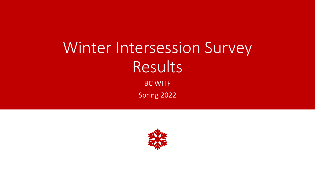# Winter Intersession Survey **Results** BC WITF Spring 2022

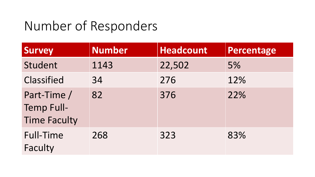### Number of Responders

| <b>Survey</b>                                           | <b>Number</b> | <b>Headcount</b> | Percentage |
|---------------------------------------------------------|---------------|------------------|------------|
| Student                                                 | 1143          | 22,502           | 5%         |
| Classified                                              | 34            | 276              | 12%        |
| Part-Time /<br><b>Temp Full-</b><br><b>Time Faculty</b> | 82            | 376              | 22%        |
| <b>Full-Time</b><br>Faculty                             | 268           | 323              | 83%        |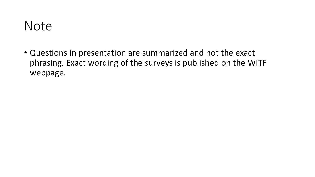#### Note

• Questions in presentation are summarized and not the exact phrasing. Exact wording of the surveys is published on the WITF webpage.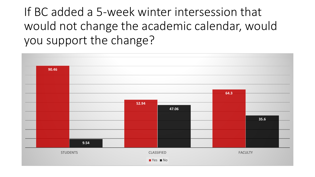If BC added a 5-week winter intersession that would not change the academic calendar, would you support the change?

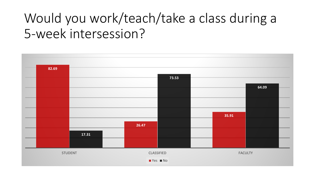## Would you work/teach/take a class during a 5-week intersession?

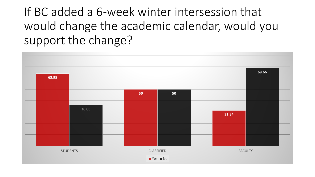If BC added a 6-week winter intersession that would change the academic calendar, would you support the change?

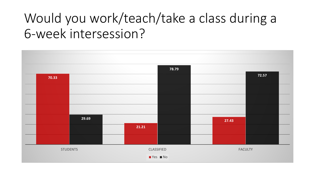## Would you work/teach/take a class during a 6-week intersession?

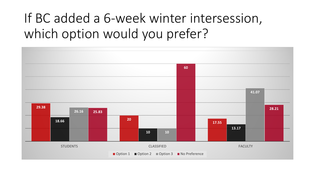### If BC added a 6-week winter intersession, which option would you prefer?